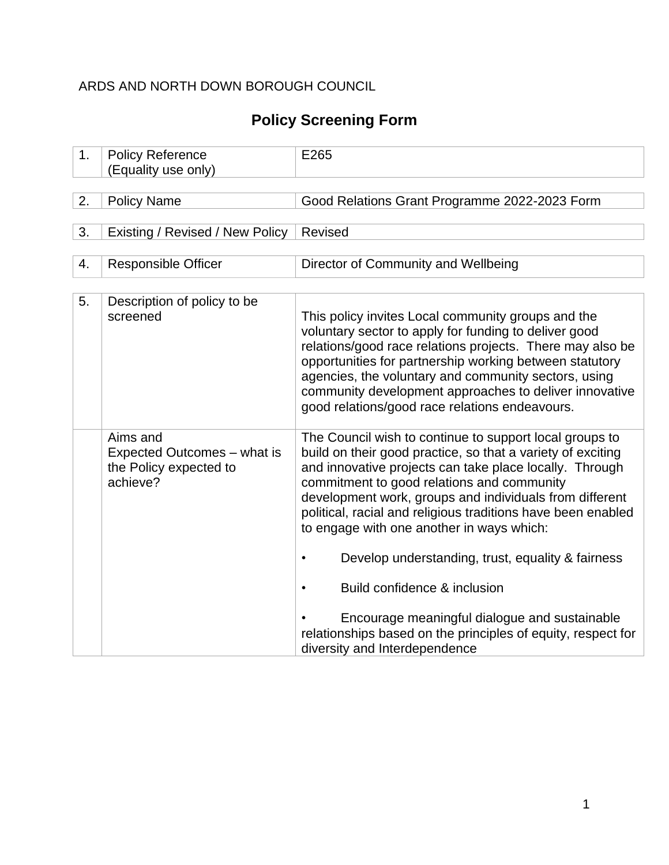### ARDS AND NORTH DOWN BOROUGH COUNCIL

# **Policy Screening Form**

| <b>Policy Reference</b><br>(Equality use only)                                | E265                                                                                                                                                                                                                                                                                                                                                                                                                                                                                                                                                                                                                       |
|-------------------------------------------------------------------------------|----------------------------------------------------------------------------------------------------------------------------------------------------------------------------------------------------------------------------------------------------------------------------------------------------------------------------------------------------------------------------------------------------------------------------------------------------------------------------------------------------------------------------------------------------------------------------------------------------------------------------|
|                                                                               |                                                                                                                                                                                                                                                                                                                                                                                                                                                                                                                                                                                                                            |
|                                                                               | Good Relations Grant Programme 2022-2023 Form                                                                                                                                                                                                                                                                                                                                                                                                                                                                                                                                                                              |
|                                                                               |                                                                                                                                                                                                                                                                                                                                                                                                                                                                                                                                                                                                                            |
|                                                                               | Revised                                                                                                                                                                                                                                                                                                                                                                                                                                                                                                                                                                                                                    |
|                                                                               |                                                                                                                                                                                                                                                                                                                                                                                                                                                                                                                                                                                                                            |
|                                                                               | Director of Community and Wellbeing                                                                                                                                                                                                                                                                                                                                                                                                                                                                                                                                                                                        |
|                                                                               |                                                                                                                                                                                                                                                                                                                                                                                                                                                                                                                                                                                                                            |
|                                                                               |                                                                                                                                                                                                                                                                                                                                                                                                                                                                                                                                                                                                                            |
| Description of policy to be<br>screened                                       | This policy invites Local community groups and the<br>voluntary sector to apply for funding to deliver good<br>relations/good race relations projects. There may also be<br>opportunities for partnership working between statutory<br>agencies, the voluntary and community sectors, using<br>community development approaches to deliver innovative<br>good relations/good race relations endeavours.                                                                                                                                                                                                                    |
| Aims and<br>Expected Outcomes – what is<br>the Policy expected to<br>achieve? | The Council wish to continue to support local groups to<br>build on their good practice, so that a variety of exciting<br>and innovative projects can take place locally. Through<br>commitment to good relations and community<br>development work, groups and individuals from different<br>political, racial and religious traditions have been enabled<br>to engage with one another in ways which:<br>Develop understanding, trust, equality & fairness<br>$\bullet$<br>Build confidence & inclusion<br>Encourage meaningful dialogue and sustainable<br>relationships based on the principles of equity, respect for |
|                                                                               | <b>Policy Name</b><br>Existing / Revised / New Policy<br><b>Responsible Officer</b>                                                                                                                                                                                                                                                                                                                                                                                                                                                                                                                                        |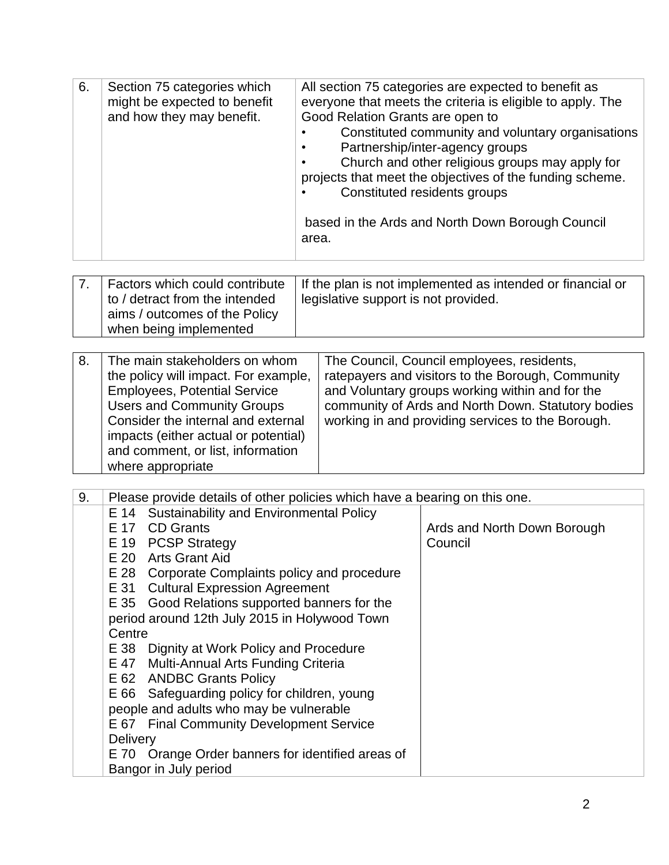| 6. | Section 75 categories which<br>might be expected to benefit<br>and how they may benefit.                                                                                                | All section 75 categories are expected to benefit as<br>everyone that meets the criteria is eligible to apply. The<br>Good Relation Grants are open to<br>Constituted community and voluntary organisations<br>Partnership/inter-agency groups<br>Church and other religious groups may apply for<br>projects that meet the objectives of the funding scheme.<br>Constituted residents groups<br>based in the Ards and North Down Borough Council<br>area. |
|----|-----------------------------------------------------------------------------------------------------------------------------------------------------------------------------------------|------------------------------------------------------------------------------------------------------------------------------------------------------------------------------------------------------------------------------------------------------------------------------------------------------------------------------------------------------------------------------------------------------------------------------------------------------------|
| 7. | Factors which could contribute<br>to / detract from the intended<br>aims / outcomes of the Policy<br>when being implemented                                                             | If the plan is not implemented as intended or financial or<br>legislative support is not provided.                                                                                                                                                                                                                                                                                                                                                         |
| 8. | The main stakeholders on whom<br>the policy will impact. For example,<br><b>Employees, Potential Service</b><br><b>Users and Community Groups</b><br>Consider the internal and external | The Council, Council employees, residents,<br>ratepayers and visitors to the Borough, Community<br>and Voluntary groups working within and for the<br>community of Ards and North Down. Statutory bodies<br>working in and providing services to the Borough.                                                                                                                                                                                              |

|    | and comment, or list, information<br>where appropriate                     |                             |
|----|----------------------------------------------------------------------------|-----------------------------|
| 9. | Please provide details of other policies which have a bearing on this one. |                             |
|    | E 14 Sustainability and Environmental Policy                               |                             |
|    | E 17 CD Grants                                                             | Ards and North Down Borough |
|    | E 19 PCSP Strategy                                                         | Council                     |
|    | $\Gamma$ 00 Asta Oscar Atal                                                |                             |

|  | E 20 Arts Grant Aid |
|--|---------------------|
|  |                     |

E 28 Corporate Complaints policy and procedure

E 31 Cultural Expression Agreement

impacts (either actual or potential)

E 35 Good Relations supported banners for the period around 12th July 2015 in Holywood Town

**Centre** E 38 Dignity at Work Policy and Procedure

E 47 Multi-Annual Arts Funding Criteria

E 62 ANDBC Grants Policy

E 66 Safeguarding policy for children, young

people and adults who may be vulnerable

E 67 Final Community Development Service **Delivery** E 70 Orange Order banners for identified areas of Bangor in July period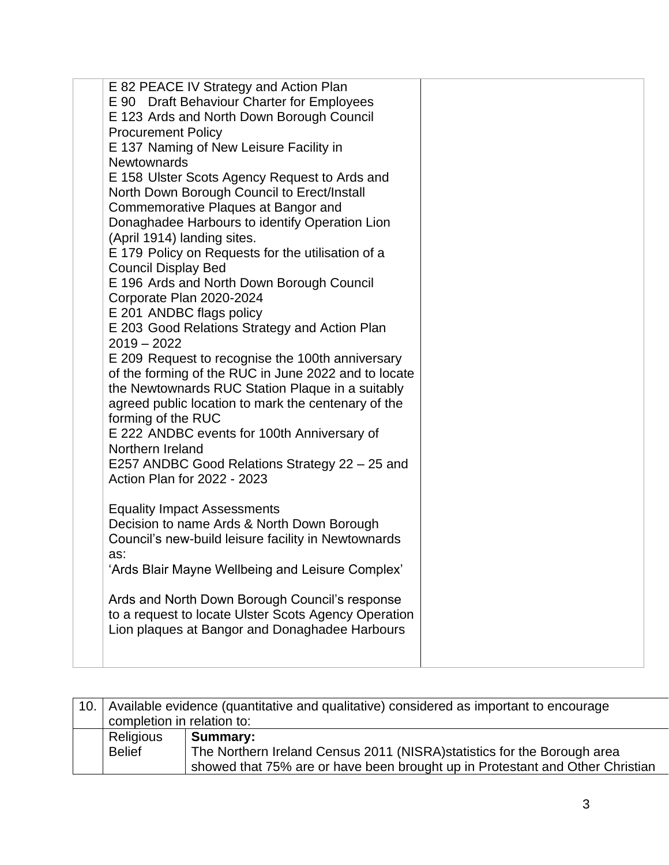| E 82 PEACE IV Strategy and Action Plan<br>E 90 Draft Behaviour Charter for Employees |  |
|--------------------------------------------------------------------------------------|--|
| E 123 Ards and North Down Borough Council                                            |  |
| <b>Procurement Policy</b>                                                            |  |
| E 137 Naming of New Leisure Facility in<br><b>Newtownards</b>                        |  |
| E 158 Ulster Scots Agency Request to Ards and                                        |  |
| North Down Borough Council to Erect/Install                                          |  |
| Commemorative Plaques at Bangor and                                                  |  |
| Donaghadee Harbours to identify Operation Lion                                       |  |
| (April 1914) landing sites.                                                          |  |
| E 179 Policy on Requests for the utilisation of a                                    |  |
| <b>Council Display Bed</b>                                                           |  |
| E 196 Ards and North Down Borough Council                                            |  |
| Corporate Plan 2020-2024                                                             |  |
| E 201 ANDBC flags policy                                                             |  |
| E 203 Good Relations Strategy and Action Plan<br>$2019 - 2022$                       |  |
| E 209 Request to recognise the 100th anniversary                                     |  |
| of the forming of the RUC in June 2022 and to locate                                 |  |
| the Newtownards RUC Station Plaque in a suitably                                     |  |
| agreed public location to mark the centenary of the                                  |  |
| forming of the RUC                                                                   |  |
| E 222 ANDBC events for 100th Anniversary of                                          |  |
| Northern Ireland                                                                     |  |
| E257 ANDBC Good Relations Strategy 22 - 25 and                                       |  |
| Action Plan for 2022 - 2023                                                          |  |
| <b>Equality Impact Assessments</b>                                                   |  |
| Decision to name Ards & North Down Borough                                           |  |
| Council's new-build leisure facility in Newtownards                                  |  |
| as:                                                                                  |  |
| 'Ards Blair Mayne Wellbeing and Leisure Complex'                                     |  |
| Ards and North Down Borough Council's response                                       |  |
| to a request to locate Ulster Scots Agency Operation                                 |  |
| Lion plaques at Bangor and Donaghadee Harbours                                       |  |
|                                                                                      |  |
|                                                                                      |  |

| 10. | Available evidence (quantitative and qualitative) considered as important to encourage |                                                                               |  |  |  |  |  |
|-----|----------------------------------------------------------------------------------------|-------------------------------------------------------------------------------|--|--|--|--|--|
|     | completion in relation to:                                                             |                                                                               |  |  |  |  |  |
|     | Religious                                                                              | <b>Summary:</b>                                                               |  |  |  |  |  |
|     | <b>Belief</b>                                                                          | The Northern Ireland Census 2011 (NISRA) statistics for the Borough area      |  |  |  |  |  |
|     |                                                                                        | showed that 75% are or have been brought up in Protestant and Other Christian |  |  |  |  |  |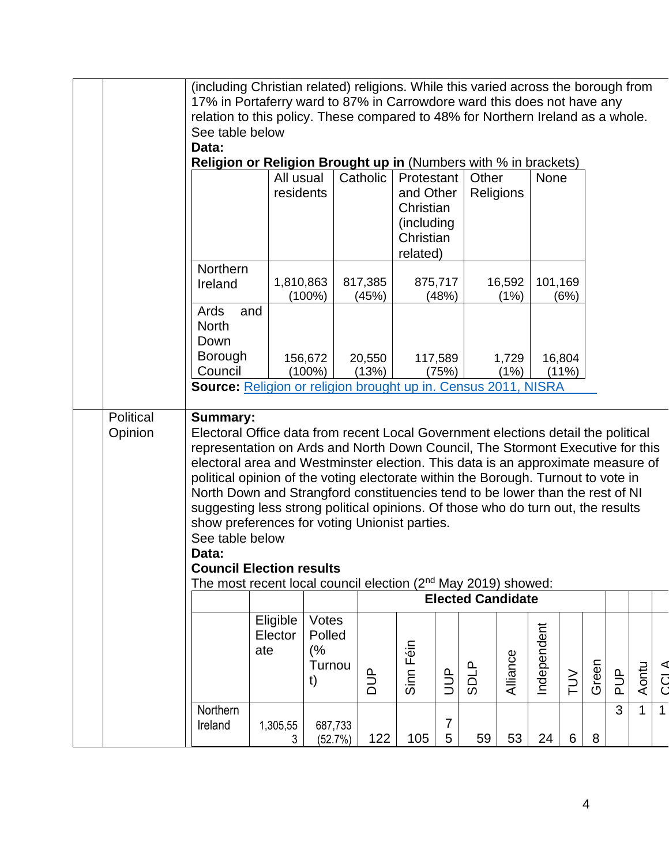|                      |                                                                                                                                                                                                                                                                                                                                                                                                                                                                                                                                                                                                                                                                                                                                  | (including Christian related) religions. While this varied across the borough from<br>17% in Portaferry ward to 87% in Carrowdore ward this does not have any |                                       |                  |                                                                              |                  |                          |                |             |                 |       |                |              |              |
|----------------------|----------------------------------------------------------------------------------------------------------------------------------------------------------------------------------------------------------------------------------------------------------------------------------------------------------------------------------------------------------------------------------------------------------------------------------------------------------------------------------------------------------------------------------------------------------------------------------------------------------------------------------------------------------------------------------------------------------------------------------|---------------------------------------------------------------------------------------------------------------------------------------------------------------|---------------------------------------|------------------|------------------------------------------------------------------------------|------------------|--------------------------|----------------|-------------|-----------------|-------|----------------|--------------|--------------|
|                      |                                                                                                                                                                                                                                                                                                                                                                                                                                                                                                                                                                                                                                                                                                                                  | relation to this policy. These compared to 48% for Northern Ireland as a whole.                                                                               |                                       |                  |                                                                              |                  |                          |                |             |                 |       |                |              |              |
|                      | Data:                                                                                                                                                                                                                                                                                                                                                                                                                                                                                                                                                                                                                                                                                                                            | See table below                                                                                                                                               |                                       |                  |                                                                              |                  |                          |                |             |                 |       |                |              |              |
|                      | <b>Religion or Religion Brought up in (Numbers with % in brackets)</b>                                                                                                                                                                                                                                                                                                                                                                                                                                                                                                                                                                                                                                                           |                                                                                                                                                               |                                       |                  |                                                                              |                  |                          |                |             |                 |       |                |              |              |
|                      |                                                                                                                                                                                                                                                                                                                                                                                                                                                                                                                                                                                                                                                                                                                                  | All usual<br>residents                                                                                                                                        |                                       | Catholic         | Protestant<br>and Other<br>Christian<br>(including)<br>Christian<br>related) |                  | Other                    | Religions      | None        |                 |       |                |              |              |
|                      | Northern<br>Ireland                                                                                                                                                                                                                                                                                                                                                                                                                                                                                                                                                                                                                                                                                                              | 1,810,863<br>$(100\%)$                                                                                                                                        |                                       | 817,385<br>(45%) |                                                                              | 875,717<br>(48%) |                          | 16,592<br>(1%) | 101,169     | (6%)            |       |                |              |              |
|                      | Ards<br>and<br><b>North</b><br>Down                                                                                                                                                                                                                                                                                                                                                                                                                                                                                                                                                                                                                                                                                              |                                                                                                                                                               |                                       |                  |                                                                              |                  |                          |                |             |                 |       |                |              |              |
|                      | <b>Borough</b><br>Council                                                                                                                                                                                                                                                                                                                                                                                                                                                                                                                                                                                                                                                                                                        | 156,672<br>$(100\%)$                                                                                                                                          |                                       | 20,550<br>(13%)  |                                                                              | 117,589<br>(75%) |                          | 1,729<br>(1%)  |             | 16,804<br>(11%) |       |                |              |              |
|                      | Source: Religion or religion brought up in. Census 2011, NISRA                                                                                                                                                                                                                                                                                                                                                                                                                                                                                                                                                                                                                                                                   |                                                                                                                                                               |                                       |                  |                                                                              |                  |                          |                |             |                 |       |                |              |              |
| Political<br>Opinion | <b>Summary:</b><br>Electoral Office data from recent Local Government elections detail the political<br>representation on Ards and North Down Council, The Stormont Executive for this<br>electoral area and Westminster election. This data is an approximate measure of<br>political opinion of the voting electorate within the Borough. Turnout to vote in<br>North Down and Strangford constituencies tend to be lower than the rest of NI<br>suggesting less strong political opinions. Of those who do turn out, the results<br>show preferences for voting Unionist parties.<br>See table below<br>Data:<br><b>Council Election results</b><br>The most recent local council election (2 <sup>nd</sup> May 2019) showed: |                                                                                                                                                               |                                       |                  |                                                                              |                  |                          |                |             |                 |       |                |              |              |
|                      |                                                                                                                                                                                                                                                                                                                                                                                                                                                                                                                                                                                                                                                                                                                                  |                                                                                                                                                               |                                       |                  |                                                                              |                  | <b>Elected Candidate</b> |                |             |                 |       |                |              |              |
|                      |                                                                                                                                                                                                                                                                                                                                                                                                                                                                                                                                                                                                                                                                                                                                  | Eligible<br>Elector<br>ate                                                                                                                                    | Votes<br>Polled<br>(%<br>Turnou<br>t) | <b>AUD</b>       | Sinn Féin                                                                    | $\overline{y}$   | <b>SDLP</b>              | Alliance       | Independent | $\geq$          | Green | $\frac{d}{d}$  | Aontu        | CCL A        |
|                      | Northern<br>Ireland                                                                                                                                                                                                                                                                                                                                                                                                                                                                                                                                                                                                                                                                                                              | 1,305,55<br>3                                                                                                                                                 | 687,733<br>(52.7%)                    | 122              | 105                                                                          | 7<br>5           | 59                       | 53             | 24          | 6               | 8     | $\overline{3}$ | $\mathbf{1}$ | $\mathbf{1}$ |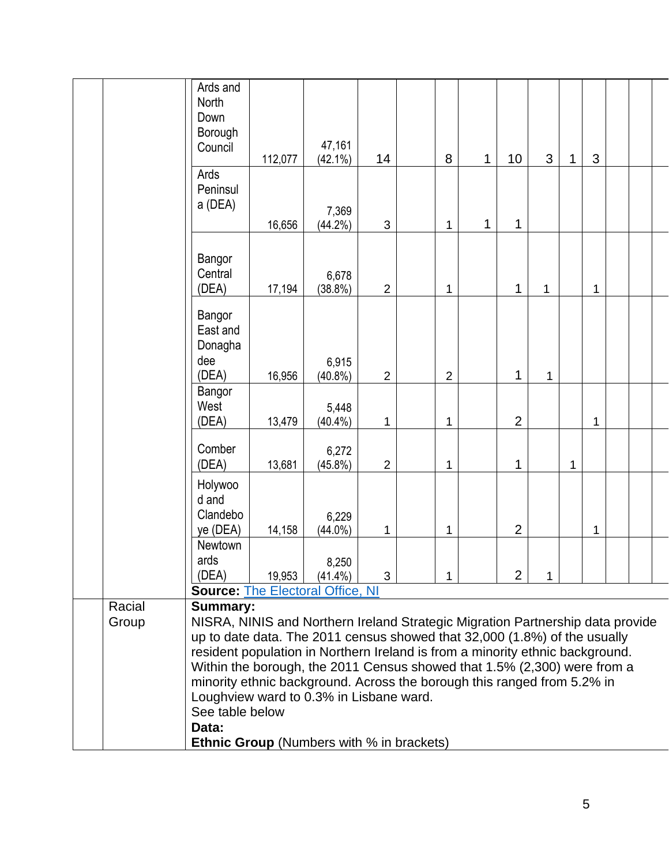|        | Ards and<br>North<br>Down<br>Borough<br>Council                                                                                                            | 112,077 | 47,161<br>$(42.1\%)$ | 14             |  | 8              | 1 | 10             | 3 | 1 | 3 |  |
|--------|------------------------------------------------------------------------------------------------------------------------------------------------------------|---------|----------------------|----------------|--|----------------|---|----------------|---|---|---|--|
|        | Ards<br>Peninsul<br>a (DEA)                                                                                                                                | 16,656  | 7,369<br>(44.2%)     | 3              |  | 1              | 1 | 1              |   |   |   |  |
|        | Bangor<br>Central<br>(DEA)                                                                                                                                 | 17,194  | 6,678<br>(38.8%)     | $\overline{2}$ |  | 1              |   | 1              | 1 |   | 1 |  |
|        | Bangor<br>East and<br>Donagha<br>dee<br>(DEA)                                                                                                              | 16,956  | 6,915<br>$(40.8\%)$  | $\overline{2}$ |  | $\overline{2}$ |   | 1              | 1 |   |   |  |
|        | Bangor<br>West<br>(DEA)                                                                                                                                    | 13,479  | 5,448<br>$(40.4\%)$  | 1              |  | 1              |   | $\overline{2}$ |   |   | 1 |  |
|        | Comber<br>(DEA)                                                                                                                                            | 13,681  | 6,272<br>$(45.8\%)$  | $\overline{2}$ |  | 1              |   | 1              |   | 1 |   |  |
|        | Holywoo<br>d and<br>Clandebo<br>ye (DEA)                                                                                                                   | 14,158  | 6,229<br>$(44.0\%)$  | 1              |  | 1              |   | $\overline{2}$ |   |   | 1 |  |
|        | Newtown<br>ards<br>(DEA)<br><b>Source: The Electoral Office, NI</b>                                                                                        | 19,953  | 8,250<br>$(41.4\%)$  | 3              |  | 1              |   | $\overline{2}$ | 1 |   |   |  |
| Racial | <b>Summary:</b>                                                                                                                                            |         |                      |                |  |                |   |                |   |   |   |  |
| Group  | NISRA, NINIS and Northern Ireland Strategic Migration Partnership data provide                                                                             |         |                      |                |  |                |   |                |   |   |   |  |
|        |                                                                                                                                                            |         |                      |                |  |                |   |                |   |   |   |  |
|        | up to date data. The 2011 census showed that 32,000 (1.8%) of the usually<br>resident population in Northern Ireland is from a minority ethnic background. |         |                      |                |  |                |   |                |   |   |   |  |
|        | Within the borough, the 2011 Census showed that 1.5% (2,300) were from a<br>minority ethnic background. Across the borough this ranged from 5.2% in        |         |                      |                |  |                |   |                |   |   |   |  |
|        | Loughview ward to 0.3% in Lisbane ward.                                                                                                                    |         |                      |                |  |                |   |                |   |   |   |  |
|        | See table below                                                                                                                                            |         |                      |                |  |                |   |                |   |   |   |  |
|        | Data:                                                                                                                                                      |         |                      |                |  |                |   |                |   |   |   |  |
|        | <b>Ethnic Group</b> (Numbers with % in brackets)                                                                                                           |         |                      |                |  |                |   |                |   |   |   |  |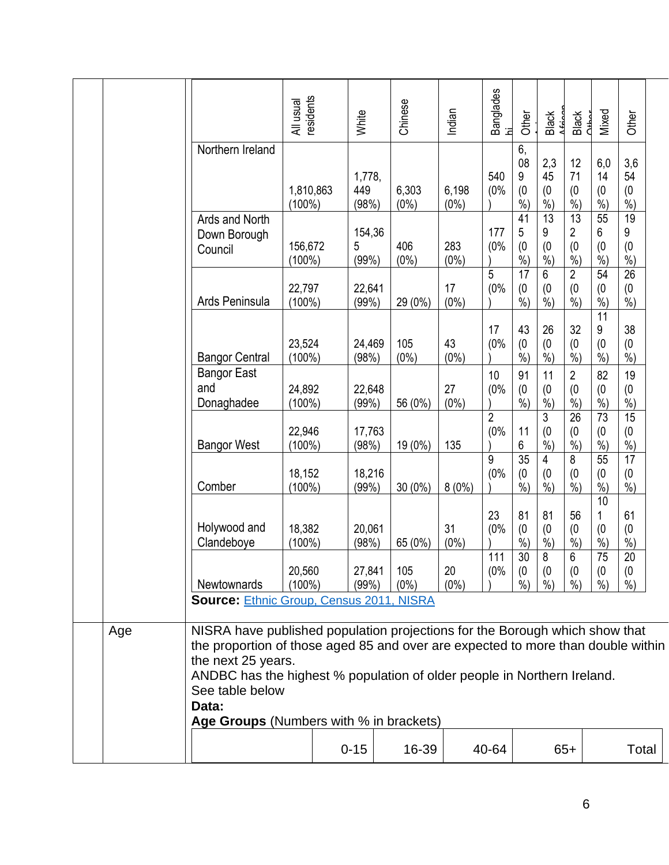|     |                                                                                                                                                                                                                                                                                                                                         | All usual<br>residents | White                  | Chinese          | Indian           | Banglades<br>hi             | Other                                        | <b>Black</b>                      | Black<br>Chhor                               | Mixed                                        | Other                                        |  |
|-----|-----------------------------------------------------------------------------------------------------------------------------------------------------------------------------------------------------------------------------------------------------------------------------------------------------------------------------------------|------------------------|------------------------|------------------|------------------|-----------------------------|----------------------------------------------|-----------------------------------|----------------------------------------------|----------------------------------------------|----------------------------------------------|--|
|     | Northern Ireland                                                                                                                                                                                                                                                                                                                        | 1,810,863<br>$(100\%)$ | 1,778,<br>449<br>(98%) | 6,303<br>$(0\%)$ | 6,198<br>$(0\%)$ | 540<br>(0%                  | 6,<br>08<br>9<br>(0)<br>$%$ )                | 2,3<br>45<br>(0)<br>$\frac{6}{6}$ | 12<br>71<br>(0)<br>$\frac{6}{6}$             | 6,0<br>14<br>(0)<br>$\frac{6}{6}$            | 3,6<br>54<br>(0)<br>$\frac{6}{6}$            |  |
|     | Ards and North<br>Down Borough<br>Council                                                                                                                                                                                                                                                                                               | 156,672<br>$(100\%)$   | 154,36<br>5<br>(99%)   | 406<br>$(0\%)$   | 283<br>$(0\%)$   | 177<br>(0%                  | $\overline{41}$<br>5<br>(0)<br>$\frac{0}{0}$ | $\overline{13}$<br>9<br>(0)<br>%  | 13<br>2<br>(0)<br>$%$ )                      | 55<br>6<br>(0)<br>$\frac{1}{2}$              | $\overline{19}$<br>9<br>(0)<br>$\frac{6}{6}$ |  |
|     | Ards Peninsula                                                                                                                                                                                                                                                                                                                          | 22,797<br>$(100\%)$    | 22,641<br>(99%)        | 29 (0%)          | 17<br>$(0\%)$    | 5<br>(0%                    | $\overline{17}$<br>(0)<br>$%$ )              | 6<br>(0)<br>$%$ )                 | $\overline{2}$<br>(0)<br>$%$ )               | 54<br>(0)<br>%                               | $\overline{26}$<br>(0)<br>$%$ )              |  |
|     | <b>Bangor Central</b>                                                                                                                                                                                                                                                                                                                   | 23,524<br>$(100\%)$    | 24,469<br>(98%)        | 105<br>$(0\%)$   | 43<br>$(0\%)$    | 17<br>(0%                   | 43<br>(0)<br>$%$ )                           | 26<br>(0)<br>$%$ )                | 32<br>(0)<br>$%$ )                           | $\overline{11}$<br>9<br>(0)<br>$%$ )         | 38<br>(0)<br>$\frac{0}{0}$                   |  |
|     | <b>Bangor East</b><br>and<br>Donaghadee                                                                                                                                                                                                                                                                                                 | 24,892<br>$(100\%)$    | 22,648<br>(99%)        | 56 (0%)          | 27<br>$(0\%)$    | 10<br>(0%<br>$\overline{2}$ | 91<br>(0)<br>$%$ )                           | 11<br>(0)<br>$%$ )<br>3           | $\overline{2}$<br>(0)<br>$\frac{6}{6}$<br>26 | 82<br>(0)<br>$%$ )<br>73                     | 19<br>(0)<br>$\frac{1}{2}$<br>15             |  |
|     | <b>Bangor West</b>                                                                                                                                                                                                                                                                                                                      | 22,946<br>$(100\%)$    | 17,763<br>(98%)        | 19 (0%)          | 135              | (0%                         | 11<br>6                                      | (0)<br>%                          | (0)<br>$%$ )                                 | (0)<br>$\frac{6}{6}$                         | (0)<br>$\frac{6}{6}$                         |  |
|     | Comber                                                                                                                                                                                                                                                                                                                                  | 18,152<br>$(100\%)$    | 18,216<br>(99%)        | $30(0\%)$        | $8(0\%)$         | 9<br>(0%                    | 35<br>(0)<br>$%$ )                           | 4<br>(0)<br>$%$ )                 | 8<br>(0)<br>$%$ )                            | 55<br>(0)<br>$%$ )                           | $\overline{17}$<br>(0)<br>$%$ )              |  |
|     | Holywood and<br>Clandeboye                                                                                                                                                                                                                                                                                                              | 18,382<br>$(100\%)$    | 20,061<br>(98%)        | 65 (0%)          | 31<br>(0%        | 23<br>(0%                   | 81<br>(0)<br>%                               | 81<br>(0)<br>%                    | 56<br>(0)<br>$%$ )                           | $\overline{10}$<br>1<br>(0)<br>$\frac{0}{0}$ | 61<br>(0)<br>%<br>$\overline{20}$            |  |
|     | Newtownards                                                                                                                                                                                                                                                                                                                             | 20,560<br>$(100\%)$    | 27,841<br>(99%)        | 105<br>$(0\%)$   | 20<br>$(0\%)$    | 111<br>(0%                  | 30<br>(0)<br>$%$ )                           | 8<br>(0)<br>$%$ )                 | 6<br>(0)<br>$%$ )                            | 75<br>(0)<br>$%$ )                           | (0)<br>$%$ )                                 |  |
|     | <b>Source: Ethnic Group, Census 2011, NISRA</b>                                                                                                                                                                                                                                                                                         |                        |                        |                  |                  |                             |                                              |                                   |                                              |                                              |                                              |  |
| Age | NISRA have published population projections for the Borough which show that<br>the proportion of those aged 85 and over are expected to more than double within<br>the next 25 years.<br>ANDBC has the highest % population of older people in Northern Ireland.<br>See table below<br>Data:<br>Age Groups (Numbers with % in brackets) |                        |                        |                  |                  |                             |                                              |                                   |                                              |                                              |                                              |  |
|     |                                                                                                                                                                                                                                                                                                                                         |                        | $0 - 15$               | 16-39            |                  | 40-64                       |                                              |                                   | $65+$                                        |                                              | Total                                        |  |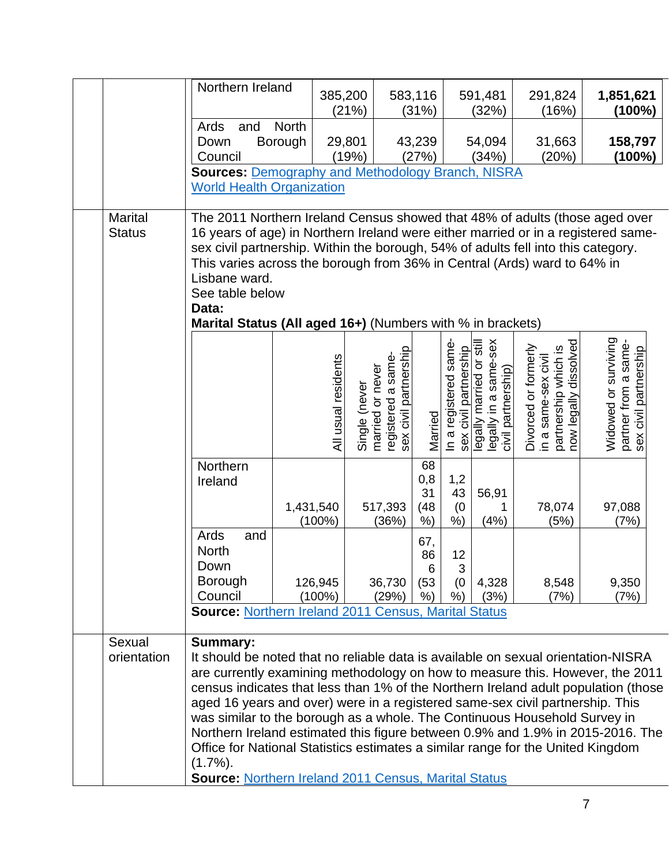|                | Northern Ireland                                                                                                                                            |                      | 385,200       |                                        | 583,116       |                       | 591,481                                                                                          | 291,824                                                                                      | 1,851,621                                                             |
|----------------|-------------------------------------------------------------------------------------------------------------------------------------------------------------|----------------------|---------------|----------------------------------------|---------------|-----------------------|--------------------------------------------------------------------------------------------------|----------------------------------------------------------------------------------------------|-----------------------------------------------------------------------|
|                |                                                                                                                                                             |                      | (21%)         |                                        | (31%)         |                       | (32%)                                                                                            | (16%)                                                                                        | $(100\%)$                                                             |
|                | Ards<br>and                                                                                                                                                 | <b>North</b>         |               |                                        |               |                       |                                                                                                  |                                                                                              |                                                                       |
|                | Down                                                                                                                                                        | Borough              | 29,801        |                                        | 43,239        |                       | 54,094                                                                                           | 31,663                                                                                       | 158,797                                                               |
|                | Council                                                                                                                                                     |                      | (19%)         |                                        | (27%)         |                       | (34%)                                                                                            | (20%)                                                                                        | $(100\%)$                                                             |
|                | <b>Sources: Demography and Methodology Branch, NISRA</b>                                                                                                    |                      |               |                                        |               |                       |                                                                                                  |                                                                                              |                                                                       |
|                | <b>World Health Organization</b>                                                                                                                            |                      |               |                                        |               |                       |                                                                                                  |                                                                                              |                                                                       |
| <b>Marital</b> | The 2011 Northern Ireland Census showed that 48% of adults (those aged over                                                                                 |                      |               |                                        |               |                       |                                                                                                  |                                                                                              |                                                                       |
| <b>Status</b>  | 16 years of age) in Northern Ireland were either married or in a registered same-                                                                           |                      |               |                                        |               |                       |                                                                                                  |                                                                                              |                                                                       |
|                | sex civil partnership. Within the borough, 54% of adults fell into this category.                                                                           |                      |               |                                        |               |                       |                                                                                                  |                                                                                              |                                                                       |
|                | This varies across the borough from 36% in Central (Ards) ward to 64% in                                                                                    |                      |               |                                        |               |                       |                                                                                                  |                                                                                              |                                                                       |
|                | Lisbane ward.                                                                                                                                               |                      |               |                                        |               |                       |                                                                                                  |                                                                                              |                                                                       |
|                | See table below                                                                                                                                             |                      |               |                                        |               |                       |                                                                                                  |                                                                                              |                                                                       |
|                | Data:                                                                                                                                                       |                      |               |                                        |               |                       |                                                                                                  |                                                                                              |                                                                       |
|                | Marital Status (All aged 16+) (Numbers with % in brackets)                                                                                                  |                      |               |                                        |               |                       |                                                                                                  |                                                                                              |                                                                       |
|                |                                                                                                                                                             |                      |               |                                        |               |                       |                                                                                                  |                                                                                              |                                                                       |
|                |                                                                                                                                                             |                      |               | sex civil partnership                  |               |                       |                                                                                                  |                                                                                              |                                                                       |
|                |                                                                                                                                                             |                      |               |                                        |               |                       |                                                                                                  |                                                                                              |                                                                       |
|                |                                                                                                                                                             |                      |               |                                        |               |                       |                                                                                                  |                                                                                              |                                                                       |
|                |                                                                                                                                                             | All usual residents  |               |                                        |               |                       |                                                                                                  |                                                                                              |                                                                       |
|                |                                                                                                                                                             |                      |               |                                        | Married       |                       |                                                                                                  |                                                                                              |                                                                       |
|                |                                                                                                                                                             |                      | Single (never | registered a same-<br>married or never |               | In a registered same- | sex civil partnership<br>legally married or still<br>legally in a same-sex<br>civil partnership) | partnership which is<br>now legally dissolved<br>Divorced or formerly<br>in a same-sex civil | Widowed or surviving<br>partner from a same-<br>sex civil partnership |
|                | Northern                                                                                                                                                    |                      |               |                                        | 68            |                       |                                                                                                  |                                                                                              |                                                                       |
|                | Ireland                                                                                                                                                     |                      |               |                                        | 0,8           | 1,2                   |                                                                                                  |                                                                                              |                                                                       |
|                |                                                                                                                                                             |                      |               |                                        | 31            | 43                    | 56,91                                                                                            |                                                                                              |                                                                       |
|                |                                                                                                                                                             | 1,431,540            |               | 517,393                                | (48)          | (0)                   | 1                                                                                                | 78,074                                                                                       | 97,088                                                                |
|                |                                                                                                                                                             | $(100\%)$            |               | (36%)                                  | %             | %                     | (4%)                                                                                             | (5%)                                                                                         | (7%)                                                                  |
|                | Ards<br>and                                                                                                                                                 |                      |               |                                        | 67,           |                       |                                                                                                  |                                                                                              |                                                                       |
|                | <b>North</b>                                                                                                                                                |                      |               |                                        | 86            | 12                    |                                                                                                  |                                                                                              |                                                                       |
|                | Down<br><b>Borough</b>                                                                                                                                      |                      |               |                                        | 6             | 3                     |                                                                                                  |                                                                                              |                                                                       |
|                | Council                                                                                                                                                     | 126,945<br>$(100\%)$ |               | 36,730<br>(29%)                        | (53)<br>$%$ ) | (0)<br>$%$ )          | 4,328<br>(3%)                                                                                    | 8,548<br>(7%)                                                                                | 9,350<br>(7%)                                                         |
|                | <b>Source: Northern Ireland 2011 Census, Marital Status</b>                                                                                                 |                      |               |                                        |               |                       |                                                                                                  |                                                                                              |                                                                       |
|                |                                                                                                                                                             |                      |               |                                        |               |                       |                                                                                                  |                                                                                              |                                                                       |
| Sexual         | <b>Summary:</b>                                                                                                                                             |                      |               |                                        |               |                       |                                                                                                  |                                                                                              |                                                                       |
| orientation    | It should be noted that no reliable data is available on sexual orientation-NISRA                                                                           |                      |               |                                        |               |                       |                                                                                                  |                                                                                              |                                                                       |
|                | are currently examining methodology on how to measure this. However, the 2011                                                                               |                      |               |                                        |               |                       |                                                                                                  |                                                                                              |                                                                       |
|                | census indicates that less than 1% of the Northern Ireland adult population (those                                                                          |                      |               |                                        |               |                       |                                                                                                  |                                                                                              |                                                                       |
|                | aged 16 years and over) were in a registered same-sex civil partnership. This                                                                               |                      |               |                                        |               |                       |                                                                                                  |                                                                                              |                                                                       |
|                | was similar to the borough as a whole. The Continuous Household Survey in<br>Northern Ireland estimated this figure between 0.9% and 1.9% in 2015-2016. The |                      |               |                                        |               |                       |                                                                                                  |                                                                                              |                                                                       |
|                | Office for National Statistics estimates a similar range for the United Kingdom                                                                             |                      |               |                                        |               |                       |                                                                                                  |                                                                                              |                                                                       |
|                | $(1.7\%)$ .                                                                                                                                                 |                      |               |                                        |               |                       |                                                                                                  |                                                                                              |                                                                       |
|                | <b>Source: Northern Ireland 2011 Census, Marital Status</b>                                                                                                 |                      |               |                                        |               |                       |                                                                                                  |                                                                                              |                                                                       |
|                |                                                                                                                                                             |                      |               |                                        |               |                       |                                                                                                  |                                                                                              |                                                                       |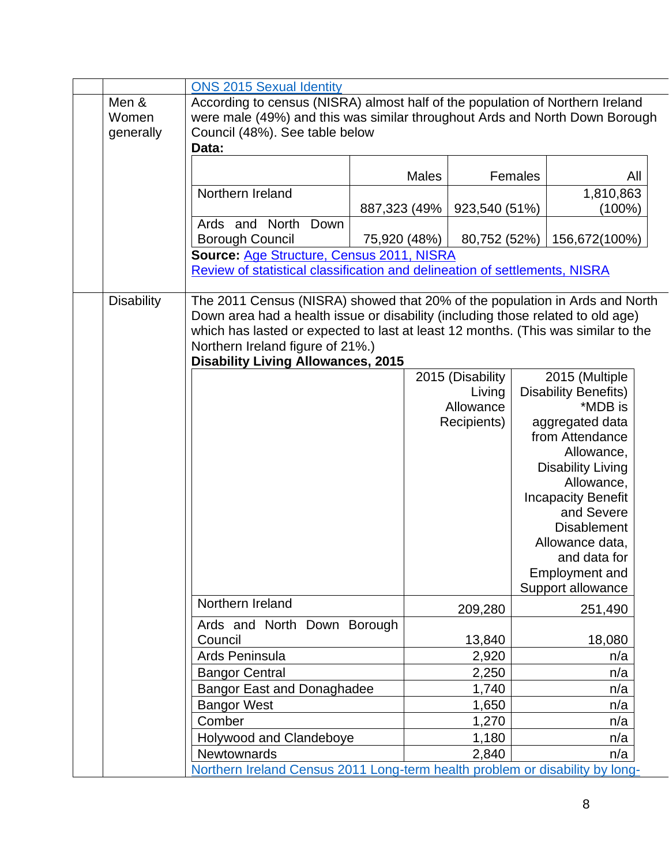|                   | <b>ONS 2015 Sexual Identity</b>                                                   |               |              |                  |         |                                        |  |
|-------------------|-----------------------------------------------------------------------------------|---------------|--------------|------------------|---------|----------------------------------------|--|
| Men &             | According to census (NISRA) almost half of the population of Northern Ireland     |               |              |                  |         |                                        |  |
| Women             | were male (49%) and this was similar throughout Ards and North Down Borough       |               |              |                  |         |                                        |  |
| generally         | Council (48%). See table below                                                    |               |              |                  |         |                                        |  |
|                   | Data:                                                                             |               |              |                  |         |                                        |  |
|                   |                                                                                   |               | <b>Males</b> |                  | Females | All                                    |  |
|                   | Northern Ireland                                                                  |               |              |                  |         | 1,810,863                              |  |
|                   |                                                                                   | 887,323 (49%) |              | 923,540 (51%)    |         | $(100\%)$                              |  |
|                   | Ards and North<br>Down                                                            |               |              |                  |         |                                        |  |
|                   | <b>Borough Council</b>                                                            | 75,920 (48%)  |              | 80,752 (52%)     |         | 156,672(100%)                          |  |
|                   | Source: Age Structure, Census 2011, NISRA                                         |               |              |                  |         |                                        |  |
|                   | Review of statistical classification and delineation of settlements, NISRA        |               |              |                  |         |                                        |  |
|                   |                                                                                   |               |              |                  |         |                                        |  |
| <b>Disability</b> | The 2011 Census (NISRA) showed that 20% of the population in Ards and North       |               |              |                  |         |                                        |  |
|                   | Down area had a health issue or disability (including those related to old age)   |               |              |                  |         |                                        |  |
|                   | which has lasted or expected to last at least 12 months. (This was similar to the |               |              |                  |         |                                        |  |
|                   | Northern Ireland figure of 21%.)                                                  |               |              |                  |         |                                        |  |
|                   | <b>Disability Living Allowances, 2015</b>                                         |               |              |                  |         |                                        |  |
|                   |                                                                                   |               |              | 2015 (Disability |         | 2015 (Multiple                         |  |
|                   |                                                                                   |               |              | Living           |         | <b>Disability Benefits)</b>            |  |
|                   |                                                                                   |               |              | Allowance        |         | *MDB is                                |  |
|                   |                                                                                   |               |              | Recipients)      |         | aggregated data                        |  |
|                   |                                                                                   |               |              |                  |         | from Attendance                        |  |
|                   |                                                                                   |               |              |                  |         | Allowance,<br><b>Disability Living</b> |  |
|                   |                                                                                   |               |              |                  |         | Allowance,                             |  |
|                   |                                                                                   |               |              |                  |         | <b>Incapacity Benefit</b>              |  |
|                   |                                                                                   |               |              |                  |         | and Severe                             |  |
|                   |                                                                                   |               |              |                  |         | <b>Disablement</b>                     |  |
|                   |                                                                                   |               |              |                  |         | Allowance data,                        |  |
|                   |                                                                                   |               |              |                  |         | and data for                           |  |
|                   |                                                                                   |               |              |                  |         | Employment and                         |  |
|                   |                                                                                   |               |              |                  |         | Support allowance                      |  |
|                   | Northern Ireland                                                                  |               |              | 209,280          |         | 251,490                                |  |
|                   | Ards and North Down Borough                                                       |               |              |                  |         |                                        |  |
|                   | Council                                                                           |               |              | 13,840           |         | 18,080                                 |  |
|                   | Ards Peninsula                                                                    |               |              | 2,920            |         | n/a                                    |  |
|                   | <b>Bangor Central</b>                                                             |               |              | 2,250            |         | n/a                                    |  |
|                   | <b>Bangor East and Donaghadee</b>                                                 |               |              | 1,740            |         | n/a                                    |  |
|                   | <b>Bangor West</b>                                                                |               |              | 1,650            |         | n/a                                    |  |
|                   | Comber                                                                            |               |              | 1,270            |         | n/a                                    |  |
|                   | Holywood and Clandeboye                                                           |               |              | 1,180            |         | n/a                                    |  |
|                   | <b>Newtownards</b>                                                                |               |              | 2,840            |         | n/a                                    |  |
|                   | Northern Ireland Census 2011 Long-term health problem or disability by long-      |               |              |                  |         |                                        |  |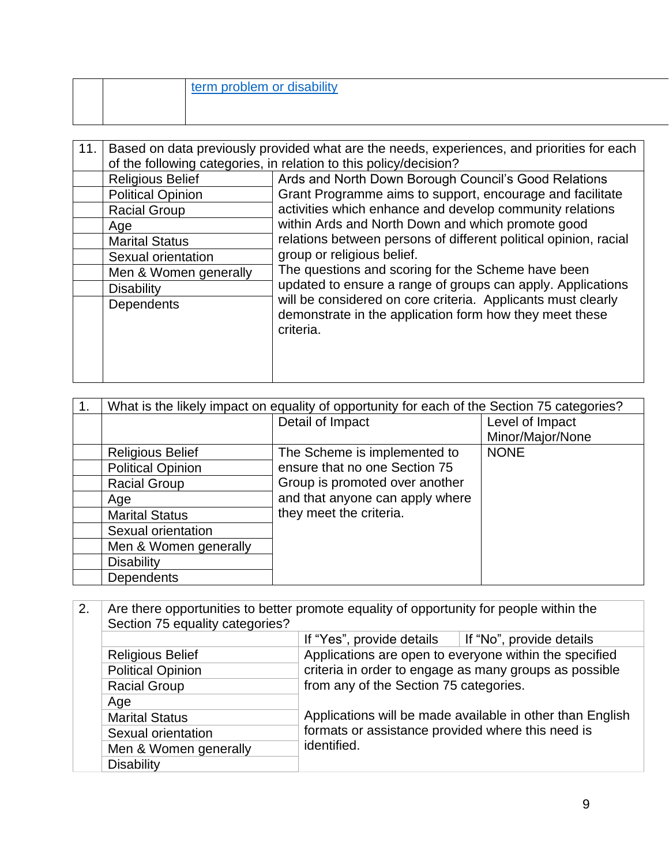|  | term problem or disability |
|--|----------------------------|
|  |                            |

| 11. | Based on data previously provided what are the needs, experiences, and priorities for each |                                                                                                                                      |
|-----|--------------------------------------------------------------------------------------------|--------------------------------------------------------------------------------------------------------------------------------------|
|     |                                                                                            | of the following categories, in relation to this policy/decision?                                                                    |
|     | <b>Religious Belief</b>                                                                    | Ards and North Down Borough Council's Good Relations                                                                                 |
|     | <b>Political Opinion</b>                                                                   | Grant Programme aims to support, encourage and facilitate                                                                            |
|     | <b>Racial Group</b>                                                                        | activities which enhance and develop community relations                                                                             |
|     | Age                                                                                        | within Ards and North Down and which promote good                                                                                    |
|     | <b>Marital Status</b>                                                                      | relations between persons of different political opinion, racial                                                                     |
|     | Sexual orientation                                                                         | group or religious belief.                                                                                                           |
|     | Men & Women generally                                                                      | The questions and scoring for the Scheme have been                                                                                   |
|     | <b>Disability</b>                                                                          | updated to ensure a range of groups can apply. Applications                                                                          |
|     | Dependents                                                                                 | will be considered on core criteria. Applicants must clearly<br>demonstrate in the application form how they meet these<br>criteria. |

| What is the likely impact on equality of opportunity for each of the Section 75 categories? |                                 |                  |
|---------------------------------------------------------------------------------------------|---------------------------------|------------------|
|                                                                                             | Detail of Impact                | Level of Impact  |
|                                                                                             |                                 | Minor/Major/None |
| <b>Religious Belief</b>                                                                     | The Scheme is implemented to    | <b>NONE</b>      |
| <b>Political Opinion</b>                                                                    | ensure that no one Section 75   |                  |
| <b>Racial Group</b>                                                                         | Group is promoted over another  |                  |
| Age                                                                                         | and that anyone can apply where |                  |
| <b>Marital Status</b>                                                                       | they meet the criteria.         |                  |
| Sexual orientation                                                                          |                                 |                  |
| Men & Women generally                                                                       |                                 |                  |
| <b>Disability</b>                                                                           |                                 |                  |
| <b>Dependents</b>                                                                           |                                 |                  |

| 2. | Are there opportunities to better promote equality of opportunity for people within the<br>Section 75 equality categories? |                                                                |  |
|----|----------------------------------------------------------------------------------------------------------------------------|----------------------------------------------------------------|--|
|    |                                                                                                                            |                                                                |  |
|    |                                                                                                                            | If "Yes", provide details $\parallel$ If "No", provide details |  |
|    | <b>Religious Belief</b>                                                                                                    | Applications are open to everyone within the specified         |  |
|    | <b>Political Opinion</b>                                                                                                   | criteria in order to engage as many groups as possible         |  |
|    | <b>Racial Group</b>                                                                                                        | from any of the Section 75 categories.                         |  |
|    | Age                                                                                                                        |                                                                |  |
|    | <b>Marital Status</b>                                                                                                      | Applications will be made available in other than English      |  |
|    | Sexual orientation                                                                                                         | formats or assistance provided where this need is              |  |
|    | Men & Women generally                                                                                                      | identified.                                                    |  |
|    | <b>Disability</b>                                                                                                          |                                                                |  |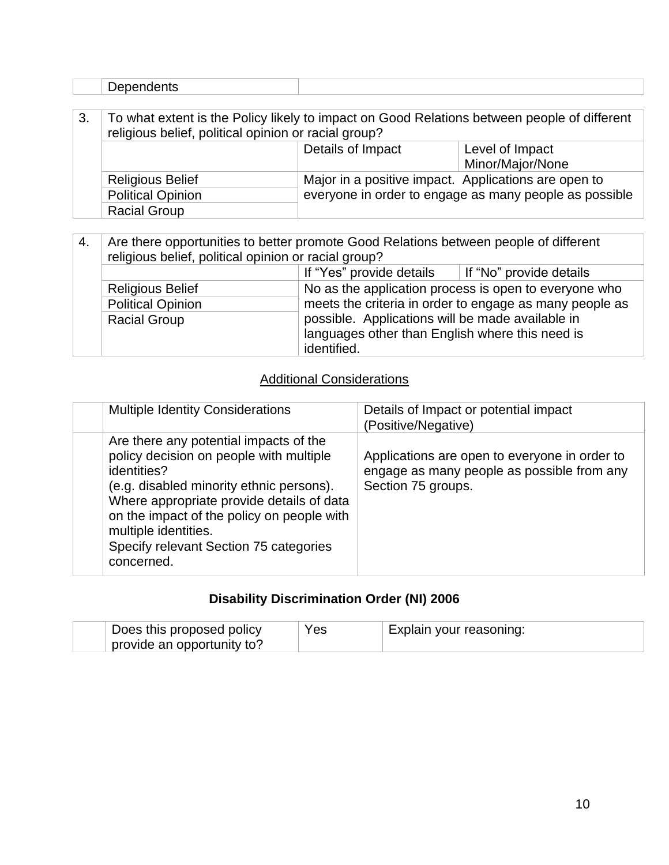| 'Jependents' |                                                                                          |
|--------------|------------------------------------------------------------------------------------------|
|              |                                                                                          |
|              | what extent is the Policy likely to impact on Good Relations between people of different |

| . v. | TO WHAT ONGHT TO THOT DIDY IINCHY TO IMPACT ON ODDUTING ACTIVITION DOMECON POOPIG OF UNION ONL<br>religious belief, political opinion or racial group? |                   |                                                        |
|------|--------------------------------------------------------------------------------------------------------------------------------------------------------|-------------------|--------------------------------------------------------|
|      |                                                                                                                                                        | Details of Impact | Level of Impact                                        |
|      |                                                                                                                                                        |                   | Minor/Major/None                                       |
|      | <b>Religious Belief</b>                                                                                                                                |                   | Major in a positive impact. Applications are open to   |
|      | <b>Political Opinion</b>                                                                                                                               |                   | everyone in order to engage as many people as possible |
|      | <b>Racial Group</b>                                                                                                                                    |                   |                                                        |

| 4. | Are there opportunities to better promote Good Relations between people of different<br>religious belief, political opinion or racial group? |                                                  |                                                         |
|----|----------------------------------------------------------------------------------------------------------------------------------------------|--------------------------------------------------|---------------------------------------------------------|
|    |                                                                                                                                              | If "Yes" provide details                         | If "No" provide details                                 |
|    | <b>Religious Belief</b>                                                                                                                      |                                                  | No as the application process is open to everyone who   |
|    | <b>Political Opinion</b>                                                                                                                     |                                                  | meets the criteria in order to engage as many people as |
|    | <b>Racial Group</b>                                                                                                                          | possible. Applications will be made available in |                                                         |
|    |                                                                                                                                              | languages other than English where this need is  |                                                         |
|    |                                                                                                                                              | identified.                                      |                                                         |

### Additional Considerations

| <b>Multiple Identity Considerations</b>                                                                                                                                                                                                                                                                                 | Details of Impact or potential impact<br>(Positive/Negative)                                                      |
|-------------------------------------------------------------------------------------------------------------------------------------------------------------------------------------------------------------------------------------------------------------------------------------------------------------------------|-------------------------------------------------------------------------------------------------------------------|
| Are there any potential impacts of the<br>policy decision on people with multiple<br>identities?<br>(e.g. disabled minority ethnic persons).<br>Where appropriate provide details of data<br>on the impact of the policy on people with<br>multiple identities.<br>Specify relevant Section 75 categories<br>concerned. | Applications are open to everyone in order to<br>engage as many people as possible from any<br>Section 75 groups. |

## **Disability Discrimination Order (NI) 2006**

| Does this proposed policy  | Yes | Explain your reasoning: |
|----------------------------|-----|-------------------------|
| provide an opportunity to? |     |                         |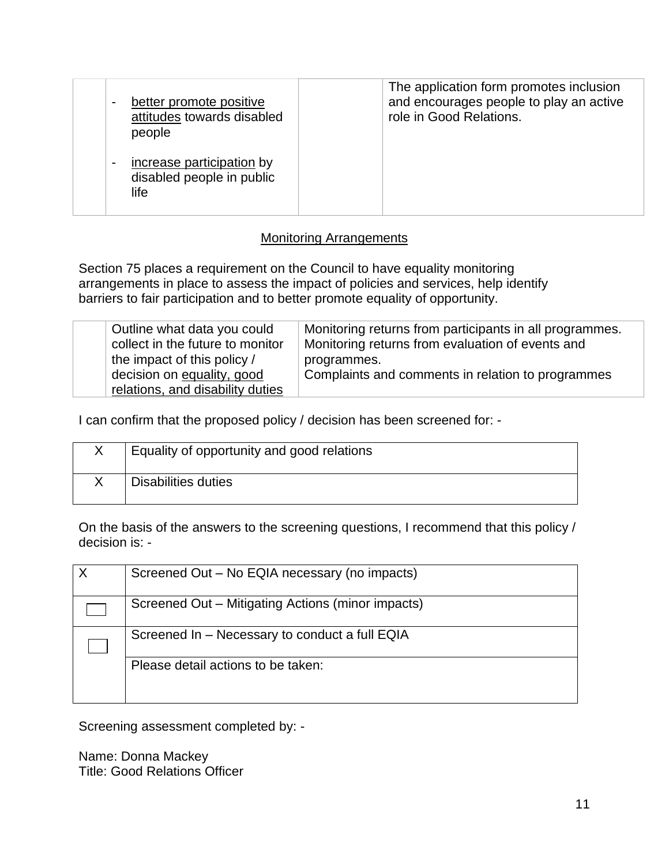| better promote positive<br>$\blacksquare$<br>attitudes towards disabled<br>people | The application form promotes inclusion<br>and encourages people to play an active<br>role in Good Relations. |
|-----------------------------------------------------------------------------------|---------------------------------------------------------------------------------------------------------------|
| increase participation by<br>$\blacksquare$<br>disabled people in public<br>life  |                                                                                                               |

#### Monitoring Arrangements

Section 75 places a requirement on the Council to have equality monitoring arrangements in place to assess the impact of policies and services, help identify barriers to fair participation and to better promote equality of opportunity.

| Outline what data you could<br>collect in the future to monitor | Monitoring returns from participants in all programmes.<br>Monitoring returns from evaluation of events and |
|-----------------------------------------------------------------|-------------------------------------------------------------------------------------------------------------|
| the impact of this policy /                                     | programmes.                                                                                                 |
| decision on equality, good                                      | Complaints and comments in relation to programmes                                                           |
| relations, and disability duties                                |                                                                                                             |

I can confirm that the proposed policy / decision has been screened for: -

| Equality of opportunity and good relations |
|--------------------------------------------|
| Disabilities duties                        |

On the basis of the answers to the screening questions, I recommend that this policy / decision is: -

| $\mathsf{X}$ | Screened Out - No EQIA necessary (no impacts)     |
|--------------|---------------------------------------------------|
|              | Screened Out - Mitigating Actions (minor impacts) |
|              | Screened In - Necessary to conduct a full EQIA    |
|              | Please detail actions to be taken:                |
|              |                                                   |

Screening assessment completed by: -

Name: Donna Mackey Title: Good Relations Officer